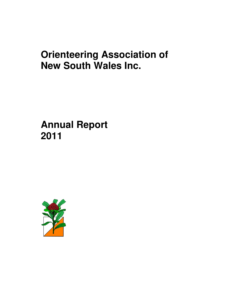# **Orienteering Association of New South Wales Inc.**

# **Annual Report 2011**

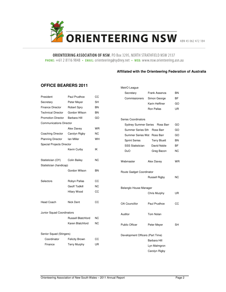

ORIENTEERING ASSOCIATION OF NSW, PO Box 3295, NORTH STRATHFIELD NSW 2137 PHONE: +61 2 8116 9848 · EMAIL: orienteering@sydney.net · WEB: www.nsw.orienteering.asn.au

#### **Affiliated with the Orienteering Federation of Australia**

### **OFFICE BEARERS 2011**

|                                |                           |           | Secretary                        | Frank Assenza        | <b>BN</b> |
|--------------------------------|---------------------------|-----------|----------------------------------|----------------------|-----------|
| President                      | Paul Prudhoe              | СC        | Commissioners                    | Simon George         | <b>BF</b> |
| Secretary                      | Peter Meyer               | <b>SH</b> |                                  | Karin Hefftner       | GO        |
| <b>Finance Director</b>        | <b>Robert Spry</b>        | <b>BN</b> |                                  | Ron Pallas           | UR        |
| <b>Technical Director</b>      | Gordon Wilson             | <b>BN</b> |                                  |                      |           |
| <b>Promotion Director</b>      | Barbara Hill              | GO        | Series Coordinators              |                      |           |
| <b>Communications Director</b> |                           |           | <b>Sydney Summer Series</b>      | Ross Barr            | GO        |
|                                | Alex Davey                | <b>WR</b> | Summer Series Sth                | Ross Barr            | GO        |
| Coaching Director              | Carolyn Rigby             | <b>NC</b> | Summer Series Wst Ross Barr      |                      | GO        |
| <b>Planning Director</b>       | lan Miller                | <b>WH</b> | <b>Sprint Series</b>             | <b>Terry Bluett</b>  | <b>BN</b> |
| Special Projects Director      |                           |           | <b>SSS Statistician</b>          | David Noble          | ΒF        |
|                                | Kevin Curby               | IK        | <b>DuO</b>                       | Greg Bacon           | <b>NC</b> |
| Statistician (OY)              | <b>Colin Bailey</b>       | ΝC        | Webmaster                        | Alex Davey           | WR        |
| Statistician (handicap)        |                           |           |                                  |                      |           |
|                                | Gordon Wilson             | <b>BN</b> | Route Gadget Coordinator         |                      |           |
|                                |                           |           |                                  | <b>Russell Rigby</b> | <b>NC</b> |
| Selectors                      | Robyn Pallas              | CС        |                                  |                      |           |
|                                | <b>Geoff Todkill</b>      | <b>NC</b> | Belanglo House Manager           |                      |           |
|                                | Hilary Wood               | CC        |                                  | Chris Murphy         | UR        |
| <b>Head Coach</b>              | Nick Dent                 | CС        | OA Councillor                    | Paul Prudhoe         | CC        |
| Junior Squad Coordinators      |                           |           | Auditor                          | Tom Nolan            |           |
|                                | <b>Russell Blatchford</b> | <b>NC</b> |                                  |                      |           |
|                                | Karen Blatchford          | <b>NC</b> | <b>Public Officer</b>            | Peter Meyer          | <b>SH</b> |
| Senior Squad (Stingers)        |                           |           | Development Officers (Part Time) |                      |           |
| Coordinator                    | <b>Felicity Brown</b>     | CС        |                                  | Barbara Hill         |           |
| Finance                        | <b>Terry Murphy</b>       | <b>UR</b> |                                  | Lyn Malmgron         |           |
|                                |                           |           |                                  | Carolyn Diaby        |           |

MetrO League

| <b>Sprint Series</b>     | <b>Terry Bluett</b> | ΒN |
|--------------------------|---------------------|----|
| <b>SSS Statistician</b>  | David Noble         | ΒF |
| DuO                      | Greg Bacon          | ΝC |
| Webmaster                | Alex Davey          | WR |
| Route Gadget Coordinator |                     |    |
|                          | Russell Rigby       | ΝC |
| Belanglo House Manager   |                     |    |
|                          | Chris Murphy        | UR |
| OA Councillor            | Paul Prudhoe        | CС |
|                          |                     |    |

(Part Time) Barbara Hill Lyn Malmgron Carolyn Rigby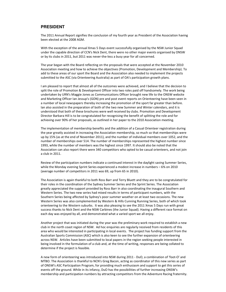### **PRESIDENT**

The 2011 Annual Report signifies the conclusion of my fourth year as President of the Association having been elected at the 2008 AGM.

With the exception of the annual Xmas 5 Days event successfully organised by the NSW Junior Squad under the capable direction of CCN's Nick Dent, there were no other major events organised by ONSW or by its clubs in 2011, but 2011 was never-the-less a busy year for all concerned.

The year began with the Board reflecting on the proposals that were accepted at the November 2010 Association meeting and how to achieve the objectives (Promotion, Development and Membership). To add to these areas of our sport the Board and the Association also needed to implement the projects submitted to the ASC (via Orienteering Australia) as part of OA's participation growth plans.

I am pleased to report that almost all of the outcomes were achieved, and I believe that the decision to split the role of Promotion & Development Officer into two roles paid off handsomely. The work being undertaken by URN's Maggie Jones as Communications Officer brought new life to the ONSW website and Marketing Officer Ian Jessup's (GON) pre and post event reports on Orienteering have been seen in a number of local newspapers thereby increasing the promotion of the sport far greater than before. Ian also assisted in the preparation of both of the two new Summer and Winter calendars, and it is understood that both of these brochures were well received by clubs. Promotion and Development Director Barbara Hill is to be congratulated for recognising the benefit of splitting the role and for achieving over 90% of her proposals, as outlined in her paper to the 2010 Association meeting.

The implementation of membership benefits and the addition of a Casual Orienteer registration during the year greatly assisted in increasing the Association membership, so much so that memberships were up by 15% (as at the end of November 2011), and the number of individual members over 1052, and the number of memberships over 514. The number of memberships represented the highest number since 1993, while the number of members was the highest since 1997. It should also be noted that the Association can also report there were 340 competitors who opted to be casual orienteers, and not join a club in 2011.

Review of the participation numbers indicate a continued interest in the daylight saving Summer Series, while the Monday evening Sprint Series experienced a modest increase in numbers – 6% on 2010 (average number of competitors in 2011 was 69, up from 65 in 2010).

The Association is again thankful to both Ross Barr and Terry Bluett and they are to be congratulated for their roles in the coordination of the Sydney Summer Series and the Sprint Series. The Association greatly appreciated the support provided by Ross Barr in also coordinating the inaugural Southern and Western Series. The two new series had mixed results in terms of participant numbers, with the Southern Series being affected by Sydney's poor summer weather on at least two occasions. The new Western Series was also complemented by Western & Hills Cunning Running Series, both of which took orienteering to the Western suburbs. It was also pleasing to see the 2011 Xmas 5 Days run with great success thanks to Nick Dent and the NSW Carbines (the Junior Squad). Having a different race format on each day was enjoyed by all, and demonstrated what a varied sport we all enjoy.

Another project that was initiated during the year was the preliminary work required to establish a new club in the north coast region of NSW. Ad hoc enquiries are regularly received from residents of this area who would be interested in participating in local events. The project has funding support from the Australian Sports Commission (ASC) which is also keen to see the further expansion of orienteering across NSW. Articles have been submitted to local papers in the region seeking people interested in being involved in the formulation of a club and, at the time of writing, responses are being collated to determine if the project is feasible.

A new form of orienteering was introduced into NSW during 2011 - DuO, a combination of 'foot-O' and MTBO. The Association is thankful to NCN's Greg Bacon, acting as coordinator of this new series as part of ONSW's ASC Participation Program, for providing much enthusiasm and support to get this series of events off the ground. While in its infancy, DuO has the possibilities of further increasing ONSW's membership and participation numbers by attracting competitors from the Adventure Racing fraternity.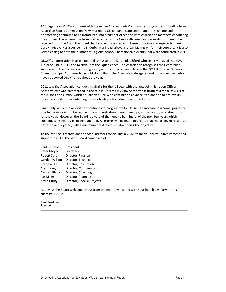2011 again saw ONSW continue with the Active After-schools Communities program with funding from Australian Sports Commission. New Marketing Officer Ian Jessup coordinated the scheme and orienteering continued to be introduced into a number of schools with Association members conducting the courses. The scheme has been well accepted in the Newcastle area, and requests continue to be received from the ASC. The Board thanks all who assisted with these programs and especially thanks Carolyn Rigby, Maria Orr, Jenny Enderby, Marina Ishakova and Lyn Malmgron for their support. It is also very pleasing to note the number of Regional School Championship events that were conducted in 2011.

ONSW' s appreciation is also extended to Russell and Karen Blatchford who again managed the NSW Junior Squad in 2011 and to Nick Dent the Squad coach. The Association recognises their continued success with the Carbines achieving a very worthy equal second place in the 2011 Australian Schools Championships. Additionally I would like to thank the Association delegates and those members who have supported ONSW throughout the year.

2011 saw the Association conduct its affairs for the full year with the new Administration Officer, Anthony Darr who commenced in the role in November 2010. Anthony has brought a range of skills to the Associations Office which has allowed ONSW to continue to advance its plans and to achieve its objectives while still maintaining the day-to-day office administration activities.

Financially, while the Association continues to progress well 2011 saw an increase in income, primarily due to the Association taking over the administration of memberships, and a healthy operating surplus for the year. However, the Board is aware of the need to be mindful of the next few years which currently sees net losses being budgeted. All efforts will be made to ensure that the achieved results are better than budgeted, with a minimum break-even situation being the objective.

To the retiring Directors and to those Directors continuing in 2012, thank you for your involvement and support in 2011. The 2011 Board comprised of:

| Paul Prudhoe       | President                  |
|--------------------|----------------------------|
| Peter Meyer        | Secretary                  |
| <b>Robert Spry</b> | Director, Finance          |
| Gordon Wilson      | Director, Technical        |
| Barbara Hill       | Director, Promotion        |
| Alex Davey         | Director, Communications   |
| Carolyn Rigby      | Director, Coaching         |
| Ian Miller         | Director, Planning         |
| Kevin Curby        | Director, Special Projects |

As always the Board welcomes input from the membership and with your help looks forward to a successful 2012.

#### **Paul Prudhoe President**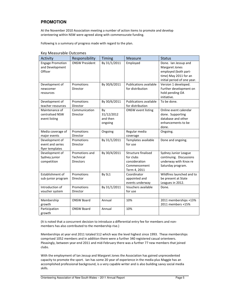# **PROMOTION**

At the November 2010 Association meeting a number of action items to promote and develop orienteering within NSW were agreed along with commensurate funding.

Following is a summary of progress made with regard to the plan.

| Activity                                              | Responsibility                                  | Timing                                  | <b>Measure</b>                                                                    | <b>Status</b>                                                                                                          |  |
|-------------------------------------------------------|-------------------------------------------------|-----------------------------------------|-----------------------------------------------------------------------------------|------------------------------------------------------------------------------------------------------------------------|--|
| <b>Engage Promotion</b><br>and Development<br>Officer | <b>ONSW President</b>                           | By 31/1/2011                            | Employed                                                                          | Done. Ian Jessup and<br>Margaret Jones<br>employed (both part-<br>time) May 2011 for an<br>initial period of one year. |  |
| Development of<br>newcomer<br>resources               | Promotions<br>Director                          | By 30/6/2011                            | <b>Publications available</b><br>for distribution                                 | Version 1 developed.<br>Further development on<br>hold pending OA<br>initiative.                                       |  |
| Development of<br>teacher resources                   | Promotions<br>Director                          | By 30/6/2011                            | <b>Publications available</b><br>for distribution                                 | To be done.                                                                                                            |  |
| Maintenance of<br>centralised NSW<br>event listing    | Communication<br>Director                       | By<br>31/12/2012<br>and then<br>ongoing | <b>ONSW</b> event listing                                                         | Online event calendar<br>done. Supporting<br>database and other<br>enhancements to be<br>done.                         |  |
| Media coverage of<br>major events                     | Promotions<br>Director                          | Ongoing                                 | Regular media<br>coverage                                                         | Ongoing.                                                                                                               |  |
| Development of<br>event and series<br>flyer templates | Promotions<br>Director                          | By 31/1/2011                            | Templates available<br>for use                                                    | Done and ongoing.                                                                                                      |  |
| Development of<br>Sydney junior<br>competition        | Promotions and<br>Technical<br><b>Directors</b> | By 30/4/2011                            | Structure finalised<br>for clubs<br>consideration<br>Commencement<br>Term 4, 2011 | Sydney Junior League<br>continuing. Discussions<br>underway with Knox re<br>Saturday program.                          |  |
| Establishment of<br>sub-junior program                | Promotions<br>Director                          | By SL1                                  | Coordinator<br>appointed and<br>events underway                                   | Wildfires launched and to<br>be present at State<br>Leagues in 2012.                                                   |  |
| Introduction of<br>voucher system                     | Promotions<br>Director                          | By 31/1/2011                            | Vouchers available<br>for use                                                     | Done.                                                                                                                  |  |
| Membership<br>growth                                  | <b>ONSW Board</b>                               | Annual                                  | 10%                                                                               | 2011 memberships +13%<br>2011 members +15%                                                                             |  |
| Participation<br>growth                               | <b>ONSW Board</b>                               | Annual                                  | 10%                                                                               |                                                                                                                        |  |

#### Key Measurable Outcomes

(It is noted that a concurrent decision to introduce a differential entry fee for members and nonmembers has also contributed to the membership rise.)

Memberships at year end 2011 totaled 512 which was the level highest since 1993. These memberships comprised 1052 members and in addition there were a further 340 registered casual orienteers. Pleasingly, between year-end 2011 and mid-February there was a further 77 new members that joined clubs.

With the employment of Ian Jessup and Margaret Jones the Association has gained unprecedented capacity to promote the sport. Ian has some 20 year of experience in the media plus Maggie has an accomplished professional background, is a very capable writer and is also building savvy social media skills.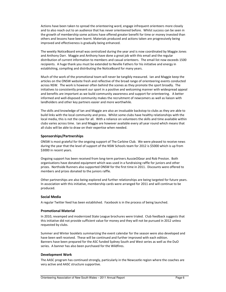Actions have been taken to spread the orienteering word, engage infrequent orienteers more closely and to also reach out to an audience that has never orienteered before. Whilst success can be seen in the growth of membership some actions have offered greater benefit for time or money invested than others and lessons have been learnt. Materials produced and actions taken are progressively being improved and effectiveness is gradually being enhanced.

The weekly NoticeBoard email was centralized during the year and is now coordinated by Maggie Jones and Anthony Darr. Maggie and Anthony have done a great job with this email and the regular distribution of current information to members and casual orienteers. The email list now exceeds 1500 recipients. A huge thank you must be extended to Neville Fathers for his initiative and energy in establishing, compiling and distributing the NoticeBoard for many years.

Much of the work of the promotional team will never be tangibly measured. Ian and Maggie keep the articles on the ONSW website fresh and reflective of the broad range of orienteering events conducted across NSW. The work is however often behind the scenes as they promote the sport broadly. The initiatives to consistently present our sport in a positive and welcoming manner with widespread appeal and benefits are important as we build community awareness and support for orienteering. A better informed and well-disposed community makes the recruitment of newcomers as well as liaison with landholders and other key partners easier and more worthwhile.

The skills and knowledge of Ian and Maggie are also an invaluable backstop to clubs as they are able to build links with the local community and press. Whilst some clubs have healthy relationships with the local media, this is not the case for all. With a reliance on volunteers the skills and time available within clubs varies across time. Ian and Maggie are however available every all year round which means that all clubs will be able to draw on their expertise when needed.

#### Sponsorships/Partnerships

ONSW is most grateful for the ongoing support of The Carbine Club. We were pleased to receive news during the year that the level of support of the NSW Schools team for 2012 is \$5000 which is up from \$3000 in recent years.

Ongoing support has been received from long-term partners AussieOGear and Rob Preston. Both organisations have donated equipment which was used in a fundraising raffle for juniors and other prizes. Northside Runners also supported ONSW for the first time in 2011. Discounts were offered to members and prizes donated to the juniors raffle.

Other partnerships are also being explored and further relationships are being targeted for future years. In association with this initiative, membership cards were arranged for 2011 and will continue to be produced.

#### Social Media

A regular Twitter feed has been established. Facebook is in the process of being launched.

#### Promotional Material

In 2010, revamped and modernized State League brochures were trialed. Club feedback suggests that this initiative did not provide sufficient value for money and they will not be pursued in 2012 unless requested by clubs.

Summer and Winter booklets summarizing the event calendar for the season were also developed and have been well received. These will be continued and further improved with each edition. Banners have been prepared for the ASC funded Sydney South and West series as well as the DuO series. A banner has also been purchased for the Wildfires.

#### Development Work

The AASC program has continued strongly, particularly in the Newcastle region where the coaches are very active and AASC structure supportive.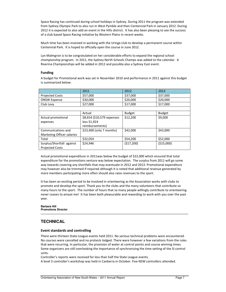Space Racing has continued during school holidays in Sydney. During 2011 the program was extended from Sydney Olympic Park to also run in West Pymble and then Centennial Park in January 2012. During 2012 it is expected to also add an event in the Hills district. It has also been pleasing to see the success of a club based Space Racing initiative by Western Plains in recent weeks.

Much time has been invested in working with the Uringa club to develop a permanent course within Centennial Park. It is hoped to officially open the course in June 2012.

Lyn Malmgron is to be congratulated on her considerable efforts to expand the regional school championship program. In 2011, the Sydney North Schools Champs was added to the calendar. A Riverina Championships will be added in 2012 and possibly also a Sydney East event.

#### Funding

A budget for Promotional work was set in November 2010 and performance in 2011 against this budget is summarized below:

|                            | 2011                       | 2012          | 2013          |
|----------------------------|----------------------------|---------------|---------------|
| <b>Projected Costs</b>     | \$57,000                   | \$37,000      | \$37,000      |
| <b>ONSW Expense</b>        | \$30,000                   | \$20,000      | \$20,000      |
| Club Levy                  | \$27,000                   | \$17,000      | \$17,000      |
|                            |                            |               |               |
|                            | Actual                     | <b>Budget</b> | <b>Budget</b> |
| Actual promotional         | \$8,654 (\$10,579 expenses | \$12,200      | \$9,000       |
| expenses                   | less \$1,924               |               |               |
|                            | reimbursements)            |               |               |
| Communications and         | \$23,400 (only 7 months)   | \$42,000      | \$43,000      |
| Marketing Officer salaries |                            |               |               |
| Total                      | \$32,054                   | \$54,200      | \$52,000      |
| Surplus/Shortfall against  | \$24,946                   | (517,200)     | ( \$15,000)   |
| <b>Projected Costs</b>     |                            |               |               |

Actual promotional expenditure in 2011was below the budget of \$22,000 which ensured that total expenditure for the promotions venture was below expectation. The surplus from 2011 will go some way towards covering any shortfalls that may eventuate in 2012 and 2013. Promotional expenditure may however also be trimmed if required although it is noted that additional revenue generated by more members participating more often should also raise revenues to the sport.

It has been an exciting period to be involved in orienteering as the Association works with clubs to promote and develop the sport. Thank you to the clubs and the many volunteers that contribute so many hours to the sport. The number of hours that so many people willingly contribute to orienteering never ceases to amaze me! It has been both pleasurable and rewarding to work with you over the past year.

**Barbara Hill Promotions Director** 

# **TECHNICAL**

#### Event standards and controlling

There were thirteen State League events held 2011. No serious technical problems were encountered. No courses were cancelled and no protests lodged. There were however a few variations from the rules that were recurring. In particular, the provision of water at control points and course winning times. Some organisers are still overlooking the importance of synchronising the time setting of the SI control units.

Controller's reports were received for less than half the State League events.

A level 3 controller's workshop was held in Canberra in October. Five NSW controllers attended.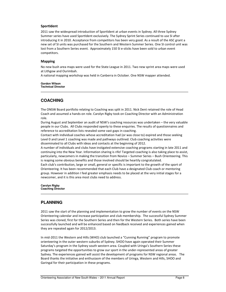#### SportIdent

2011 saw the widespread introduction of SportIdent at urban events in Sydney. All three Sydney Summer series have used SportIdent exclusively. The Sydney Sprint Series continued to use SI after introducing it in 2010. Acceptance from competitors has been very good. As a result of the ASC grant a new set of SI units was purchased for the Southern and Western Summer Series. One SI control unit was lost from a Southern Series event. Approximately 150 SI e-sticks have been sold to urban event competitors.

#### Mapping

No new bush area maps were used for the State League in 2011. Two new sprint area maps were used at Lithgow and Ourimbah.

A national mapping workshop was held in Canberra in October. One NSW mapper attended.

**Gordon Wilson Technical Director** 

### **COACHING**

The ONSW Board portfolio relating to Coaching was split in 2011. Nick Dent retained the role of Head Coach and assumed a hands-on role. Carolyn Rigby took on Coaching Director with an Administration role.

During August and September an audit of NSW's coaching resources was undertaken – the very valuable people in our Clubs. All Clubs responded openly to these enquiries. The results of questionnaires and reference to accreditation lists revealed some vast gaps in coaching.

Contact with individual coaches whose accreditation had (or was close to) expired and those seeking Level 0 and Level 1 coaching was made and pathways outlined. Club coaching activities were disseminated to all Clubs with ideas and contacts at the beginning of 2012.

A number of individuals and clubs have instigated extensive coaching programs starting in late 2011 and continuing into the New Year. Information sharing is rife! Targeted coaching is also taking place to assist, particularly, newcomers in making the transition from Novice – Summer Series – Bush Orienteering. This is reaping some obvious benefits and those involved should be heartily congratulated.

Each club's contribution, large or small, general or specific is important to the growth of the sport of Orienteering. It has been recommended that each Club have a designated Club coach or mentoring group. However in addition I feel greater emphasis needs to be placed at the very initial stages for a newcomer, and it is this area most clubs need to address.

**Carolyn Rigby Coaching Director** 

# **PLANNING**

2011 saw the start of the planning and implementation to grow the number of events on the NSW Orienteering calendar and increase participation and club membership. The successful Sydney Summer Series was cloned, first for the Southern Series and then for the Western Series. Both series have been successfully launched and will be enhanced based on feedback received and experiences gained when they are repeated again for 2012/2013.

In mid-2011 the Western and Hills (WHO) club launched a "Cunning Running" program to promote orienteering in the outer western suburbs of Sydney. SHOO have again operated their Summer Saturday's program in the Sydney south western area. Coupled with Uringa's Southern Series these programs targeted the opportunities to grow our sport in the under-represented areas of greater Sydney. The experiences gained will assist the development of programs for NSW regional areas. The Board thanks the initiative and enthusiasm of the members of Uringa, Western and Hills, SHOO and Garingal for their participation in these programs.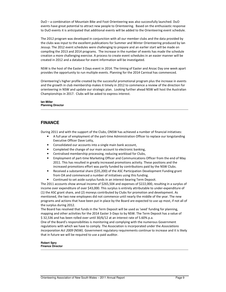DuO – a combination of Mountain Bike and Foot Orienteering was also successfully launched. DuO events have great potential to attract new people to Orienteering. Based on the enthusiastic response to DuO events it is anticipated that additional events will be added to the Orienteering event schedule.

The 2012 program was developed in conjunction with all our member clubs and the data provided by the clubs was input to the excellent publications for Summer and Winter Orienteering produced by Ian Jessup. The 2012 event schedules were challenging to prepare and an earlier start will be made on compiling the 2013 and 2014 programs. The increase in the number of events has made the schedule creation a more challenging exercise. A process to create event schedules in an easier manner will be created in 2012 and a database for event information will be investigated.

NSW is the host of the Easter 3 Days event in 2014. The timing of Easter and Anzac Day one week apart provides the opportunity to run multiple events. Planning for the 2014 Carnival has commenced.

Orienteering's higher profile created by the successful promotional program plus the increase in events and the growth in club membership makes it timely in 2012 to commence a review of the direction for orienteering in NSW and update our strategic plan. Looking further ahead NSW will host the Australian Championships in 2017. Clubs will be asked to express interest.

**Ian Miller Planning Director** 

# **FINANCE**

During 2011 and with the support of the Clubs, ONSW has achieved a number of financial initiatives:

- A full year of employment of the part-time Administration Officer to replace our longstanding Executive Officer Dave Lotty,
- Consolidated our accounts into a single main bank account,
- Completed the change of our main account to electronic banking,
- Centralised membership processing, reducing workload for Clubs,
- Employment of part-time Marketing Officer and Communications Officer from the end of May 2011. This has resulted in greatly increased promotions activity. These positions and the increased promotions effort was partly funded by contributions paid by the NSW Clubs.
- Received a substantial share (\$35,200) of the ASC Participation Development Funding grant from OA and commenced a number of initiatives using this funding.
- Continued to set aside surplus funds in an interest-bearing Term Deposit.

The 2011 accounts show annual income of \$265,504 and expenses of \$222,000, resulting in a surplus of income over expenditure of over \$43,000. This surplus is entirely attributable to under-expenditure of (1) the ASC grant share, and (2) moneys contributed by Clubs for promotion and development. As mentioned, the two new employees did not commence until nearly the middle of the year. The new programs and actions that have been put in place by the Board are expected to use up most, if not all of the surplus during 2012.

The Board has resolved that funds in the Term Deposit will be used as 'seed' funding for planning, mapping and other activities for the 2014 Easter 3-Days to by NSW. The Term Deposit has a value of \$ 32,536 and has been rolled over until 30/6/12 at an interest rate of 5.60% p.a.

One of the Board's responsibilities is monitoring and complying with the numerous Government regulations with which we have to comply. The Association is incorporated under the Associations Incorporation Act 2009 (NSW). Government regulatory requirements continue to increase and it is likely that in future we will be required to use a paid auditor.

**Robert Spry Finance Director**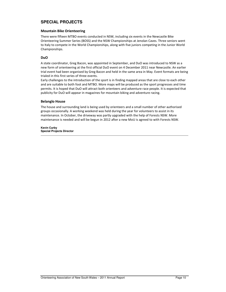# **SPECIAL PROJECTS**

#### Mountain Bike Orienteering

There were fifteen MTBO events conducted in NSW, including six events in the Newcastle Bike Orienteering Summer Series (BOSS) and the NSW Championships at Jenolan Caves. Three seniors went to Italy to compete in the World Championships, along with five juniors competing in the Junior World Championships.

#### DuO

A state coordinator, Greg Bacon, was appointed in September, and DuO was introduced to NSW as a new form of orienteering at the first official DuO event on 4 December 2011 near Newcastle. An earlier trial event had been organised by Greg Bacon and held in the same area in May. Event formats are being trialed in this first series of three events.

Early challenges to the introduction of the sport is in finding mapped areas that are close to each other and are suitable to both foot and MTBO. More maps will be produced as the sport progresses and time permits. It is hoped that DuO will attract both orienteers and adventure race people. It is expected that publicity for DuO will appear in magazines for mountain biking and adventure racing.

#### Belanglo House

The house and surrounding land is being used by orienteers and a small number of other authorised groups occasionally. A working weekend was held during the year for volunteers to assist in its maintenance. In October, the driveway was partly upgraded with the help of Forests NSW. More maintenance is needed and will be begun in 2012 after a new MoU is agreed to with Forests NSW.

**Kevin Curby Special Projects Director**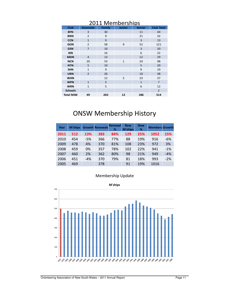|                  | CUTT INICIIINCI SIIINS |               |                |               |                   |  |  |  |
|------------------|------------------------|---------------|----------------|---------------|-------------------|--|--|--|
| <b>Club</b>      | <b>Associate</b>       | <b>Family</b> | <b>Junior</b>  | <b>Senior</b> | <b>Club Total</b> |  |  |  |
| <b>BFN</b>       | 3                      | 30            |                | 11            | 44                |  |  |  |
| <b>BNN</b>       | $\overline{2}$         | 9             |                | 21            | 32                |  |  |  |
| <b>CCN</b>       | $\mathbf{1}$           | 9             |                | 3             | 13                |  |  |  |
| <b>GON</b>       | $\overline{2}$         | 58            | 9              | 52            | 121               |  |  |  |
| <b>GSN</b>       | $\overline{7}$         | 10            |                | 3             | 20                |  |  |  |
| <b>IKN</b>       |                        | 16            |                | 6             | 22                |  |  |  |
| <b>MDN</b>       | $\overline{4}$         | 13            |                | 12            | 29                |  |  |  |
| <b>NCN</b>       | 20                     | 53            | $\mathbf{1}$   | 24            | 98                |  |  |  |
| <b>NTN</b>       | 5                      | 10            |                | 5             | 20                |  |  |  |
| <b>SHN</b>       | $\mathbf{1}$           | 9             |                | 9             | 19                |  |  |  |
| <b>URN</b>       | $\overline{2}$         | 26            |                | 10            | 38                |  |  |  |
| <b>WHN</b>       |                        | 12            | $\overline{2}$ | 23            | 37                |  |  |  |
| <b>WPN</b>       | $\mathbf{1}$           | 5             |                | $\mathbf 1$   | $\overline{7}$    |  |  |  |
| <b>WRN</b>       | $\mathbf{1}$           | 5             |                | 6             | 12                |  |  |  |
| <b>Schools</b>   |                        |               |                |               | $\overline{2}$    |  |  |  |
| <b>Total NSW</b> | 49                     | 265           | 12             | 186           | 514               |  |  |  |

# 2011 Memberships

# ONSW Membership History

| Year | <b>M'ships</b> |       | <b>Growth Renewals</b> | Renewal<br>% | <b>New</b><br><b>M'ships</b> | <b>New</b><br>% | <b>Members Growth</b> |       |
|------|----------------|-------|------------------------|--------------|------------------------------|-----------------|-----------------------|-------|
| 2011 | 512            | 13%   | 383                    | 84%          | 129                          | 25%             | 1052                  | 15%   |
| 2010 | 454            | $-5%$ | 366                    | 77%          | 88                           | 19%             | 916                   | $-6%$ |
| 2009 | 478            | 4%    | 370                    | 81%          | 108                          | 23%             | 972                   | 3%    |
| 2008 | 459            | 0%    | 357                    | 78%          | 102                          | 22%             | 941                   | $-1%$ |
| 2007 | 460            | 2%    | 362                    | 80%          | 98                           | 21%             | 949                   | $-4%$ |
| 2006 | 451            | $-4%$ | 370                    | 79%          | 81                           | 18%             | 993                   | $-2%$ |
| 2005 | 469            |       | 378                    |              | 91                           | 19%             | 1016                  |       |

# Membership Update

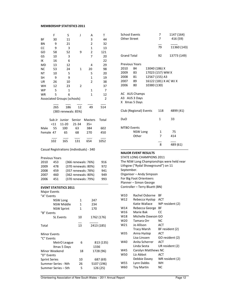#### MEMBERSHIP STATISTICS 2011

|                             | F      | S                                        | J      | Α                       | Τ          |
|-----------------------------|--------|------------------------------------------|--------|-------------------------|------------|
| ΒF                          | 30     | 11                                       |        | 3                       | 44         |
| ΒN                          | 9      | 21                                       |        | 2                       | 32         |
| СC                          | 9      | 3                                        |        | 1                       | 13         |
| GO                          | 58     | 52                                       | 9      | $\overline{\mathbf{c}}$ | 121        |
|                             | 10     |                                          |        | 7                       |            |
| GS                          |        | 3                                        |        |                         | 20         |
| IΚ                          | 16     | 6                                        |        |                         | 22         |
| MD                          | 13     | 12                                       |        | 4                       | 29         |
| ΝC                          | 53     | 24                                       | 1      | 20                      | 98         |
| NT                          | 10     | 5                                        |        | 5                       | 20         |
| SΗ                          | 9      | 9                                        |        | 1                       | 19         |
| UR                          | 26     | 10                                       |        | $\overline{2}$          | 38         |
| WH                          | 12     | 23                                       | 2      |                         | 37         |
| WP                          | 5      | 1                                        |        | 1                       | 7          |
| WR                          | 5      | 6                                        |        | 1                       | 12         |
|                             |        | <b>Associated Groups (schools)</b>       |        |                         | 2          |
|                             |        |                                          |        |                         |            |
|                             | 265    | 186                                      | 12     | 49                      | 514        |
|                             |        | (383 renewals: 85%)                      |        |                         |            |
|                             |        |                                          |        |                         |            |
|                             | Sub Jr | Junior                                   | Senior | Masters                 | Total      |
|                             | < 11   | 11-20                                    | 21-34  | $35+$                   |            |
| Male                        | 55     | 100                                      | 63     | 384                     | 602        |
| Female 47                   |        | 65                                       | 68     | 270                     | 450        |
|                             |        |                                          |        |                         |            |
|                             | 102    | 165                                      | 131    | 654                     | 1052       |
|                             |        | Casual Registrations (individuals) - 340 |        |                         |            |
|                             |        |                                          |        |                         |            |
| <b>Previous Years</b>       |        |                                          |        |                         |            |
| 2010                        | 453    |                                          |        | (366 renewals: 76%)     | 916        |
| 2009                        | 478    |                                          |        | (370 renewals: 80%)     | 972        |
| 2008                        | 459    |                                          |        | (357 renewals: 78%)     | 941        |
| 2007                        | 460    |                                          |        | (362 renewals: 80%)     | 949        |
| 2006                        | 451    |                                          |        | (370 renewals: 79%)     | 993        |
|                             |        |                                          |        |                         |            |
|                             |        | <b>EVENT STATISTICS 2011</b>             |        |                         |            |
| <b>Major Events</b>         |        |                                          |        |                         |            |
| "A" Events                  |        |                                          |        |                         |            |
|                             |        | <b>NSW Long</b>                          | 1      | 247                     |            |
|                             |        | <b>NSW Middle</b>                        | 1      | 234                     |            |
|                             |        | <b>NSW Sprint</b>                        | 1      | 170                     |            |
| "B" Events                  |        |                                          |        |                         |            |
|                             |        | <b>SL Events</b>                         | 10     |                         | 1762 (176) |
|                             |        |                                          |        |                         |            |
| Total                       |        |                                          | 13     |                         | 2413 (185) |
| <b>Minor Events</b>         |        |                                          |        |                         |            |
| "C" Events                  |        |                                          |        |                         |            |
|                             |        |                                          |        |                         |            |
|                             |        |                                          |        |                         |            |
|                             |        | MetrO League                             | 6      |                         | 813 (135)  |
|                             |        | Xmas 5 Days                              |        |                         | 1336       |
| Minor Weekend<br>"D" Events |        |                                          | 18     |                         | 1728 (96)  |

| <b>School Events</b>           |                        |               | 7                     | 1147 (164)  |
|--------------------------------|------------------------|---------------|-----------------------|-------------|
| <b>Other Street</b>            |                        |               | 7                     | 416 (59)    |
|                                |                        |               |                       |             |
|                                |                        |               | 79                    | 11360 (143) |
|                                |                        |               |                       |             |
| <b>Grand Total</b>             |                        |               | 92                    | 13773 (149) |
|                                |                        |               |                       |             |
| <b>Previous Years</b>          |                        |               |                       |             |
| 2010                           | 84                     | 13040 (186) X |                       |             |
| 2009                           | 83                     |               | 17023 (157) WM X      |             |
| 2008 81                        |                        |               | 12567 (155) A3        |             |
| 2007                           | - 89                   |               | 16122 (181) X AC WJ X |             |
| 2006                           | 80                     | 10380 (130)   |                       |             |
| AC AUS Champs<br>A3 AUS 3 Days |                        |               |                       |             |
|                                | X Xmas 5 Days          |               |                       |             |
|                                |                        |               |                       |             |
|                                | Club (Regional) Events |               | 118                   | 4899 (41)   |
| Du <sub>O</sub>                |                        |               | 1                     | 33          |
|                                |                        |               |                       |             |
| <b>MTBO Events</b>             |                        |               |                       |             |
|                                | <b>NSW Long</b>        |               | $\mathbf{1}$          | 75          |
|                                | Other                  |               | 7                     | 414         |
|                                |                        |               |                       |             |
|                                |                        |               | 8                     | 489 (61)    |

#### MAJOR EVENT RESULTS

STATE LONG CHAMPIONS 2011 The NSW Long Championships were held near Lithgow ("Rydal Showground") on 11 September. Organiser – Andy Simpson For Big Foot Orienteers Planner – Simon George Controller – Terry Bluett (BN) W10 Rachel Osborne BF

| v v ⊥ ∪ | אוווטעכט ואמרופ     |                 |
|---------|---------------------|-----------------|
| W12     | Rebecca Hyslop      | ACT             |
|         | Katie Wallace       | WP resident (2) |
| W14     | Rebecca George      | ВF              |
| W16     | Marie Bak           | CC              |
| W18     | Michelle Dawson     | GO              |
| W20     | Tamara Orr          | NС              |
| W21     | Jo Allison          | <b>ACT</b>      |
|         | Tracy Marsh         | BF resident (2) |
| W35     | Anna Hyslop         | ACT             |
|         | Lisa Linssen        | GO resident (2) |
| W40     | Anita Scherrer      | ACT             |
|         | Linda Sesta         | UR resident (2) |
| W45     | Carolyn Matthews NC |                 |
| W50     | Liz Abbot           | <b>ACT</b>      |
|         | Debbie Davey        | WR resident (2) |
| W55     | Lynn Dabbs          | WН              |
| W60     | <b>Toy Martin</b>   | NC              |

Summer Series - Nth 26 5107 (196) Summer Series – Sth $5$  126 (25)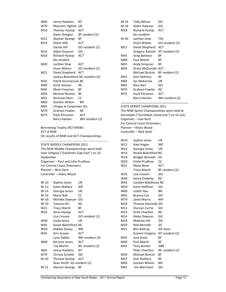| W65 | Jenny Hawkins                     | NΤ              |
|-----|-----------------------------------|-----------------|
| W70 | Maureen Ogilvie                   | UR              |
| M10 | Thomas Hyslop                     | ACT             |
|     | Ewan Shingler                     | BF resident (2) |
| M12 | Alastair George                   | ВF              |
| M14 | Oliver Mill                       | <b>ACT</b>      |
|     | Daniel Hill                       | GO resident (2) |
| M16 | Aidan Dawson                      | GO              |
| M18 | Richard Hyslop                    | <b>ACT</b>      |
|     | No resident                       |                 |
| M20 | Lachlan Dow                       | <b>ACT</b>      |
|     | Huon Wilson                       | GO resident (2) |
| M21 | David Shepherd ACT                |                 |
|     | Joshua Blatchford NC resident (3) |                 |
| M35 | Patrik Gunnarsson BF              |                 |
| M40 | Scott Simson                      | NC              |
| M45 | Mark Freeman                      | BF              |
| M50 | Michael Burton                    | ВF              |
| M55 | Nicholas Dent                     | CC.             |
| M60 | Gordon Wilson                     | <b>BN</b>       |
| M65 | Chippy le Carpentier GO           |                 |
| M70 | Graham Fowler                     | <b>NC</b>       |
| M75 | Pauli Piiroinen                   | <b>ACT</b>      |
|     | <b>Barry Hanlon</b>               | WH resident (2) |
|     |                                   |                 |

Bennelong Trophy (ACTvNSW) ACT d NSW On results of NSW and ACT Championships

STATE MIDDLE CHAMPIONS 2011

The NSW Middle Championships were held near Lithgow ("Gardiners Gap East") on 10 September. Organiser – Paul and Julia Prudhoe For Central Coast Orienteers Planner – Nick Dent Controller – Hilary Wood

| W-10   | Sophie Jones               | UR              |
|--------|----------------------------|-----------------|
| W-12   | Katie Wallace              | WP              |
| $W-14$ | Georgia Jones              | UR              |
| $W-16$ | Marie Bak                  | СC              |
| $W-18$ | Michele Dawson             | GO              |
| $W-20$ | Tamara Orr                 | NC              |
| W21    | Tracy Marsh                | ΒF              |
| W35    | Anna Hyslop                | ACT             |
|        | Lisa Linssen               | GO resident (2) |
| W40    | Linda Sesta                | UR              |
| W45    | Karen Blatchford           | NC              |
| W50    | Debbie Davey               | WR              |
| W55    | Ann Scown                  | ACT             |
|        | Lynn Dabbs                 | WH resident (3) |
| W60    | Kerryne Jones              | ACT             |
|        | <b>Toy Martin</b>          | NC resident (2) |
| W65    | Jenny Hawkins              | NΤ              |
| W70    | Christa Schafer            | GO              |
| $M-10$ | <b>Thomas Hyslop</b>       | ACT             |
|        | Sean Smith GS resident (2) |                 |
| M-12   | Alastair George            | ВF              |
|        |                            |                 |

| $M-14$ | Toby Wilson           | GO              |
|--------|-----------------------|-----------------|
| M-16   | Aiden Dawson          | GO              |
| M18    | Richard Hyslop        | ACT             |
|        | No resident           |                 |
| M-20   | Lachlan Dow           | TAS             |
|        | Huon Wilson           | GO resident (2) |
| M21    | David Shepherd        | ACT             |
|        | Gregory Kasimir       | NT resident (3) |
| M35    | Greg Barbour          | ВF              |
| M40    | Paul Marsh            | ВF              |
| M45    | Andy Simpson          | ВF              |
| M50    | <b>Grant McDonald</b> | ACT             |
|        | Michael Burton        | BF resident (2) |
| M55    | Eoin Rothery          | ВF              |
| M60    | lan McKenzie          | UR              |
| M65    | Ross Barr             | GO              |
| M70    | Graham Fowler         | NC              |
| M75    | Pauli Piiroinen       | ACT             |
|        | Barry Hanlon          | WH resident (2) |

#### STATE SPRINT CHAMPIONS 2011

The NSW Sprint Championships were held at Ourimbah ("Ourimbah University") on 16 July. Organiser – Ivan Kent For Central Coast Orienteers Planner – Hilary Wood Controller – Nick Dent W10 Sophie Jones UR

| W12             | Kate Hagan             | <b>WP</b>       |
|-----------------|------------------------|-----------------|
| W14             | Georgia Jones          | UR              |
| W16             | Nicola Blatchford NC   |                 |
| W18             | <b>Bridget Bennett</b> | GS              |
| W <sub>20</sub> | <b>Emily Prudhoe</b>   | СC              |
| W21             | Mace Neve              | <b>ACT</b>      |
|                 | <b>Tracy Marsh</b>     | BF resident (2) |
| W35             | Lisa Linssen           | GO              |
| W40             | Jenny Enderby          | NC              |
| W45             | Carolyn Matthews NC    |                 |
| W50             | Karin Hefftner         | GO              |
| W60             | Judith Hay             | BN              |
| W65             | <b>Bryony Cox</b>      | GO              |
| W70             | Janet Morris           | WH              |
| M10             | Thomas Kennedy GO      |                 |
| M12             | Duncan Currie          | GO              |
| M14             | <b>Scott Charlton</b>  | NC              |
| M16             | Aidan Dawson           | GO              |
| M18             | <b>Mathew Hill</b>     | GO              |
| M20             | Rob Bennett            | GS              |
| M21             | Ben Rattray            | Sth Aust.       |
|                 | Kasimir Gregory        | NT resident (2) |
| M35             | <b>Jock Davis</b>      | ВF              |
| M40             | Paul Marsh             | ВF              |
| M45             | <b>Tony Burton</b>     | GBR             |
|                 | Peter Charlton         | NC resident (2) |
| M50             | Michael Burton         | ΒF              |
| M55             | Eoin Rothery           | ΒF              |
| M60             | Gordon Wilson          | ΒN              |
| M65             | <b>Jim Merchant</b>    | GO              |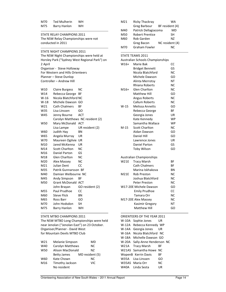| M70 | <b>Ted Mulherin</b> | <b>WH</b> |
|-----|---------------------|-----------|
| M75 | Barry Hanlon        | wн        |

#### STATE RELAY CHAMPIONS 2011 The NSW Relay Championships were not conducted in 2011

STATE NIGHT CHAMPIONS 2011 The NSW Night Championships were held at Horsley Park ("Sydney West Regional Park") on 2 April Organiser - Steve Holloway For Western and Hills Orienteers Planner – Steve Dunlop Controller – Andrew Hill

| W10             | <b>Claire Burgess</b> | NC.                              |
|-----------------|-----------------------|----------------------------------|
| W14             | Rebecca George        | ВF                               |
| $W-16$          | Nicola Blatchford NC  |                                  |
| $W-18$          | Michele Dawson        | GO                               |
| W21             | Cath Chalmers         | ВF                               |
| W35             | Lisa Linssen          | GO                               |
| W45             | Jenny Bourne          | ACT                              |
|                 |                       | Carolyn Matthews NC resident (2) |
| W50             | Mary McDonald         | <b>ACT</b>                       |
|                 | Lisa Lampe            | UR resident (2)                  |
| W60             | Judith Hay            | ΒN                               |
| W65             | Angela Murray         | UR                               |
| W70             | Maureen Ogilvie       | UR                               |
| M <sub>10</sub> | Jared McKenna         | UR                               |
| M14             | <b>Scott Charlton</b> | <b>NC</b>                        |
| M16             | Daniel Parton         | GS                               |
| M18             | <b>Glen Charlton</b>  | NC                               |
| M20             | Alex Massey           | <b>NC</b>                        |
| M21             | Julian Dent           | CC                               |
| M35             | Patrik Gunnarsson BF  |                                  |
| M40             | Damian Welbourne NC   |                                  |
| M45             | Andy Simpson          | ВF                               |
| M50             | <b>Grant McDonald</b> | <b>ACT</b>                       |
|                 | John Brayan           | GO resident (2)                  |
| M55             | Paul Prudhoe          | CC                               |
| M60             | <b>Steve Flick</b>    | BN                               |
| M65             | Ross Barr             | GO                               |
| M70             | John Hodsdon          | SH                               |
| M75             | <b>Barry Hanlon</b>   | WH                               |
|                 |                       |                                  |

#### STATE MTBO CHAMPIONS 2011

The NSW MTBO Long Championships were held near Jenolan ("Jenolan East") on 23 October. Organiser/Planner - David West for Mountain Devils MTBO Club

| W21        | Melanie Simpson    | MD              |
|------------|--------------------|-----------------|
| W40        | Carolyn Matthews   | ΝC              |
| <b>W50</b> | Alison MacDonald   | Ν7              |
|            | <b>Betty James</b> | MD resident (5) |
| W60        | Kate Chown         | NC              |
| M16        | Timothy Jackson    | VIC             |
|            | No resident        |                 |

| M21 | <b>Ricky Thackray</b>  | WA              |  |
|-----|------------------------|-----------------|--|
|     | <b>Greg Barbour</b>    | BF resident (4) |  |
| M40 | Patrick Dellagiacoma   | MD              |  |
| M50 | <b>Robert Prentice</b> | SН              |  |
| M60 | <b>Rob Garden</b>      | Ν7              |  |
|     | <b>Greg Bacon</b>      | NC resident (4) |  |
| M70 | Graham Fowler          | ΝC              |  |

#### STATE TEAMS 2011

|                                  | Australian Schools Championships |           |
|----------------------------------|----------------------------------|-----------|
| $W16+$                           | Marie Bak                        | CC        |
|                                  | <b>Bridget Bennett</b>           | GS        |
|                                  | Nicola Blatchford                | <b>NC</b> |
|                                  | Michele Dawson                   | GO        |
|                                  | Alinta Merrotsy                  | NT        |
|                                  | <b>Rhiana Roberts</b>            | NC        |
| M16+                             | <b>Glen Charlton</b>             | NC        |
|                                  | Matthew Hill                     | GO        |
|                                  | Angus Roberts                    | NC        |
|                                  | <b>Callum Roberts</b>            | <b>NC</b> |
| W-15                             | Melissa Annetts                  | GO        |
|                                  | Rebecca George                   | ВF        |
|                                  | Georgia Jones                    | UR        |
|                                  | Kate Kennedy                     | <b>WP</b> |
|                                  | Samantha Wallace                 | <b>WP</b> |
| $M-15$                           | <b>Scott Charlton</b>            | NC        |
|                                  | Aidan Dawson                     | GO        |
|                                  | Daniel Hill                      | GO        |
|                                  | Lawrence Jones                   | UR        |
|                                  | <b>Daniel Parton</b>             | GS        |
|                                  | <b>Toby Wilson</b>               | GO        |
|                                  | <b>Australian Championships</b>  |           |
| <b>W21E</b>                      | <b>Tracy Marsh</b>               | ВF        |
|                                  | <b>Cath Chalmers</b>             | ВF        |
|                                  | Marina Iskhakova                 | ΒN        |
| <b>M21E</b>                      | Rob Preston                      | NC        |
|                                  | Joshua Blatchford                | NC        |
|                                  | <b>Peter Preston</b>             | NC        |
|                                  | W17-20E Michele Dawson           | GO        |
|                                  | <b>Emily Prudhoe</b>             | CC        |
|                                  | Tamara Orr                       | NC        |
| M17-20E Alex Massey<br><b>NC</b> |                                  |           |
|                                  | Kasimir Gregory                  | ΝT        |
|                                  | Matthew Hill                     | GO        |
|                                  |                                  |           |

#### ORIENTEERS OF THE YEAR 2011

W-10A Sophie Jones UR W-12A Rebecca Kennedy WP W-14A Georgia Jones UR W-16A Nicola Blatchford NC W-18A Michelle Dawson GO W-20A Sally-Anne Henderson NC W21A Tracy Marsh BF W21AS Samantha Howe NC WopenB Kerrin Davis BF W35A Lisa Linssen GO W35AS Maria Orr NC W40A Linda Sesta UR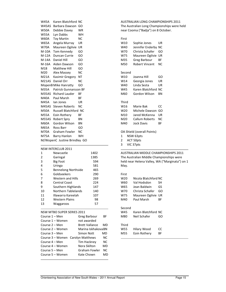W45A Karen Blatchford NC W45AS Barbara Dawson GO W50A Debbie Davey WR W55A Lyn Dabbs WH W60A Toy Martin NC W65A Angela Murray UR W70A Maureen Ogilvie UR M-10A Tom Kennedy GO M-12A Duncan Currie GO M-14A Daniel Hill GO M-16A Aiden Dawson GO M18 Matthew Hill GO M20 Alex Massey NC M21A Kasimir Gregory NT M21AS Daniel Orr NC MopenB Mike Hanratty GO M35A Patrick Gunnarsson BF M35AS Richard Lauder BF M40A Paul Marsh BF M45A Ian Jones UR M45AS Steven Roberts NC M50A Russell Blatchford NC M55A Eoin Rothery BF M55AS Robert Spry BN M60A Gordon Wilson BN M65A Ross Barr GO M70A Graham Fowler NC M75A Barry Hanlon WH M/WopenC Justine Brindley GO

#### NSW INTERCLUB 2011

| 1  | Newcastle                  | 1402 |
|----|----------------------------|------|
| 2  | Garingal                   | 1385 |
| 3  | <b>Big Foot</b>            | 594  |
| 4  | Uringa                     | 581  |
| 5  | <b>Bennelong Northside</b> | 465  |
| 6  | Goldseekers                | 290  |
| 7  | <b>Western and Hills</b>   | 269  |
| 8  | <b>Central Coast</b>       | 224  |
| 9  | Southern Highlands         | 147  |
| 10 | Northern Tablelands        | 140  |
| 11 | Illawarra Kareelah         | 107  |
| 12 | Western Plains             | 98   |
| 13 | Waggaroos                  | 57   |
|    |                            |      |

#### NSW MTBO SUPER SERIES 2011

| Course 1 – Men                    | <b>Greg Barbour</b>   | ВF  |
|-----------------------------------|-----------------------|-----|
| Course 1 – Women                  | not awarded           |     |
| Course 2 – Men                    | <b>Brett Vallance</b> | MD  |
| Course 2 – Women                  | Marina IskhakovaBN    |     |
| Course 3 – Men                    | Simon Nott            | MD  |
| Course 3 – Women Carolyn Matthews |                       | NC. |
| Course 4 – Men                    | Tim Hackney           | NС  |
| Course 4 – Women                  | Nora Skilton          | MD  |
| Course 5 – Men                    | <b>Graham Fowler</b>  | NC. |
| Course 5 – Women                  | Kate Chown            | MD  |
|                                   |                       |     |

AUSTRALIAN LONG CHAMPIONSHIPS 2011 The Australian Long Championships were held near Cooma ("Badja") on 8 October.

#### First

| W10    | Sophie Jones               | UR |
|--------|----------------------------|----|
| W40    | Jennifer Enderby           | NC |
| W70    | Christa Schafer            | GO |
| W75    | Maureen Ogilvie            | UR |
| M35    | Greg Barbour               | ВF |
| M50    | <b>Robert Vincent</b>      | NC |
| Second |                            |    |
| W10    | Joanna Hill                | GO |
| W14    | Georgia Jones              | UR |
| W40    | Linda Sesta                | UR |
| W45    | Karen Blatchford           | NC |
| M60    | Gordon Wilson              | ΒN |
| Third  |                            |    |
| W16    | Marie Bak                  | cc |
| W20    | Michele Dawson             | GO |
| M10    | Jared McKenna              | UR |
| M20    | Callum Roberts             | NC |
| M40    | <b>Jock Davis</b>          | ВF |
|        | OA Shield (overall Points) |    |

- 1 NSW 63pts
- 2 ACT 50pts
- 3 VIC 37pts

AUSTRALIAN MIDDLE CHAMPIONSHIPS 2011 The Australian Middle Championships were held near Helena Valley, WA ("Marginata") on 1 May.

#### First

| W20             | Nicola Blatchford NC |    |
|-----------------|----------------------|----|
| W60             | Val Hodsdon          | SН |
| W65             | Jean Baldwin         | GS |
| W70             | Christa Schafer      | GO |
| W75             | Maureen Ogilvie      | UR |
| M40             | Paul Marsh           | ВF |
|                 |                      |    |
| Second          |                      |    |
| W45             | Karen Blatchford NC  |    |
| M80             | Neil Schafer         | GO |
|                 |                      |    |
| Third           |                      |    |
| W <sub>55</sub> | Hilary Wood          | CC |
| M55             | Eoin Rotherv         | ВF |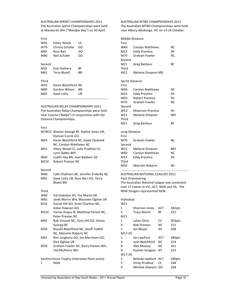AUSTRALIAN SPRINT CHAMPIONSHIPS 2011 The Australian Sprint Championships were held at Mandurah WA ("Mandjar Bay") on 30 April.

| First  |                     |     |
|--------|---------------------|-----|
| W55    | Hilary Wood         | CC  |
| W70    | Christa Schafer     | GO  |
| M65    | Ross Barr           | GO  |
| M80    | Neil Schafer        | GO  |
|        |                     |     |
| Second |                     |     |
| M55    | Eoin Rothery        | ВF  |
| M65    | <b>Terry Bluett</b> | ΒN  |
|        |                     |     |
| Third  |                     |     |
| W35    | Karen Blatchford    | NC. |
| M60    | Gordon Wilson       | ΒN  |
| M65    | Dave Lotty          | UR  |
|        |                     |     |

#### AUSTRALIAN RELAY CHAMPIONSHIPS 2011

The Australian Relay Championships were held near Cooma ("Badja") in conjunction with the Oceania Championships.

#### First

|              | M/W12 Alastair George BF, Sophie Jones UR,<br>Duncan Currie GO |
|--------------|----------------------------------------------------------------|
| W45          | Karen Blatchford NC, Gayle Quantok<br>NC, Carolyn Matthews NC  |
| W55          | Hilary Wood CC, Julia Prudhoe CC,<br>Lynn Dabbs WH             |
| W60          | Judith Hay BN, Jean Baldwin GS                                 |
| <b>M21E</b>  | <b>Robert Preston NC</b>                                       |
| Second       |                                                                |
| W40          | Cath Chalmers BF, Jennifer Enderby NC                          |
| M65          | Dave Lotty UR, Ross Barr GO, Terry<br><b>Bluett BN</b>         |
| Third        |                                                                |
| W60          | Val Hodsdon SH, Toy Martin NC                                  |
| W65          | Janet Morris WH, Maureen Ogilvie UR                            |
| M16          | Daniel Hill GO, Scott Charlton NC,                             |
|              | Aidan Dawson GO                                                |
| <b>M21E</b>  | Tomas Krajca IK, Matthew Parton NC,<br><b>Peter Preston NC</b> |
| M45          | Rob Vincent NC, Tony Hill GO, Simon<br>George BF               |
| M50          | Russell Blatchford NC, Geoff Todkill                           |
|              | NC, Malcolm Roberts NC                                         |
| M65          | Ron Junghans GO, Jim Merchant GO,                              |
|              | Dick Ogilvie UR                                                |
| M70          | Graham Fowler NC, Barry Hanlon WH,                             |
|              | <b>Ted Mulherin WH</b>                                         |
|              | Xanthorrhoea Trophy (Interstate Point score)                   |
| $\mathbf{1}$ | <b>NSW</b>                                                     |

AUSTRALIAN MTBO CHAMPIONSHIPS 2011 The Australian MTBO Championships were held near Albury-Wodonga, VIC on 14-16 October.

| Middle Distance        |                          |           |
|------------------------|--------------------------|-----------|
| First                  |                          |           |
| W40                    | Carolyn Matthews         | ΝC        |
| M14                    | <b>Eddy Prentice</b>     | SH        |
| M70                    | <b>Graham Fowler</b>     | <b>NC</b> |
| Second                 |                          |           |
| M21                    | Greg Barbour             | ΒF        |
| Third                  |                          |           |
| W21                    | Melanie Simpson MD       |           |
| <b>Sprint Distance</b> |                          |           |
| First                  |                          |           |
| W40                    | Carolyn Matthews         | NC        |
| M14                    | <b>Eddy Prentice</b>     | <b>SH</b> |
| M50                    | <b>Robert Prentice</b>   | SΗ        |
| M70                    | Graham Fowler            | NC        |
| Second                 |                          |           |
| W14                    | <b>Rhiannon Prentice</b> | <b>SH</b> |
| W21                    | Melanie Simpson          | <b>MD</b> |
| Third                  |                          |           |
| M21                    | <b>Greg Barbour</b>      | ΒF        |
| Long Distance          |                          |           |
| First                  |                          |           |
| M70                    | Graham Fowler            | NC        |
| Second                 |                          |           |
| W21                    | Melanie Simpson          | MD        |
| W40                    | Carolyn Matthews         | <b>NC</b> |
| M14                    | <b>Eddy Prentice</b>     | SΗ        |
| Third                  |                          |           |
| M50                    | <b>Malcolm Roberts</b>   | <b>NC</b> |
|                        |                          |           |

AUSTRALIAN NATIONAL LEAGUES 2011 Foot Orienteering The Australian National League was contested over 17 events in VIC, ACT, NSW and SA. The NSW Stingers represented NSW.

| Individual |                 |     |        |
|------------|-----------------|-----|--------|
| W21        |                 |     |        |
| 1          | Shannon Jones   | ACT | 282pts |
| 5          | Tracy Marsh     | ВF  | 232    |
| M21        |                 |     |        |
| 1          | Julian Dent     | CC  | 303pts |
| 4          | Rob Preston     | NC  | 215    |
| 5          | Ian Mever       | SН  | 208    |
| M17-20     |                 |     |        |
| 1          | Ian Lawford     | ACT | 280pts |
| 4          | Josh Blatchford | ΝC  | 224    |
| 8          | Alex Massey     | NC. | 161    |
| 9          | Kasimir Gregory | NΤ  | 153    |
| W17-20     |                 |     |        |
| 1          | Belinda Lawford | ACT | 280pts |
| 5          | Emily Prudhoe   | cc  | 198    |
| 9          | Michele Dawson  | GO  | 168    |